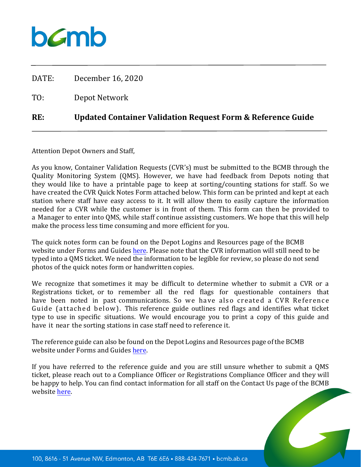

| RE:   | Updated Container Validation Request Form & Reference Guide |
|-------|-------------------------------------------------------------|
| TO:   | Depot Network                                               |
| DATE: | December 16, 2020                                           |

Attention Depot Owners and Staff,

As you know, Container Validation Requests (CVR's) must be submitted to the BCMB through the Quality Monitoring System (QMS). However, we have had feedback from Depots noting that they would like to have a printable page to keep at sorting/counting stations for staff. So we have created the CVR Quick Notes Form attached below. This form can be printed and kept at each station where staff have easy access to it. It will allow them to easily capture the information needed for a CVR while the customer is in front of them. This form can then be provided to a Manager to enter into QMS, while staff continue assisting customers. We hope that this will help make the process less time consuming and more efficient for you.

The quick notes form can be found on the Depot Logins and Resources page of the BCMB website under Forms and Guides [here.](https://www.bcmb.ab.ca/depot-owners-operators/depot-logins-resources/) Please note that the CVR information will still need to be typed into a QMS ticket. We need the information to be legible for review, so please do not send photos of the quick notes form or handwritten copies.

We recognize that sometimes it may be difficult to determine whether to submit a CVR or a Registrations ticket, or to remember all the red flags for questionable containers that have been noted in past communications. So we have also created a CVR Reference Guide (attached below). This reference guide outlines red flags and identifies what ticket type to use in specific situations. We would encourage you to print a copy of this guide and have it near the sorting stations in case staff need to reference it.

The reference guide can also be found on the Depot Logins and Resources page of the BCMB website under Forms and Guides [here.](https://www.bcmb.ab.ca/depot-owners-operators/depot-logins-resources/)

If you have referred to the reference guide and you are still unsure whether to submit a QMS ticket, please reach out to a Compliance Officer or Registrations Compliance Officer and they will be happy to help. You can find contact information for all staff on the Contact Us page of the BCMB website [here.](https://www.bcmb.ab.ca/contact/)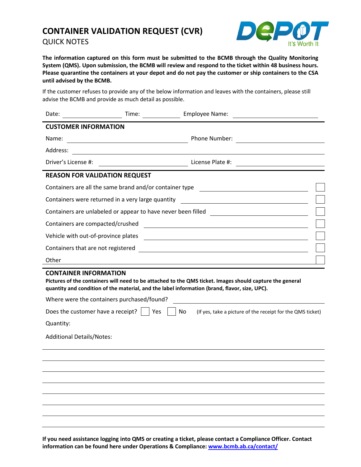## **CONTAINER VALIDATION REQUEST (CVR)** QUICK NOTES



**The information captured on this form must be submitted to the BCMB through the Quality Monitoring System (QMS). Upon submission, the BCMB will review and respond to the ticket within 48 business hours. Please quarantine the containers at your depot and do not pay the customer or ship containers to the CSA until advised by the BCMB.** 

If the customer refuses to provide any of the below information and leaves with the containers, please still advise the BCMB and provide as much detail as possible.

| Date:                                                                                                                                                                                                                                     | Time: | Employee Name:                                                                   |  |
|-------------------------------------------------------------------------------------------------------------------------------------------------------------------------------------------------------------------------------------------|-------|----------------------------------------------------------------------------------|--|
| <b>CUSTOMER INFORMATION</b>                                                                                                                                                                                                               |       |                                                                                  |  |
| Name:                                                                                                                                                                                                                                     |       | Phone Number:                                                                    |  |
| Address:                                                                                                                                                                                                                                  |       |                                                                                  |  |
| Driver's License #:                                                                                                                                                                                                                       |       | License Plate #:<br><u> 1989 - Andrea State Barbara, poeta esp</u>               |  |
| <b>REASON FOR VALIDATION REQUEST</b>                                                                                                                                                                                                      |       |                                                                                  |  |
|                                                                                                                                                                                                                                           |       | Containers are all the same brand and/or container type ________________________ |  |
| Containers were returned in a very large quantity<br><u> 1980 - Johann Barn, mars eta bainar eta baina eta baina eta baina eta baina eta baina eta baina eta baina e</u>                                                                  |       |                                                                                  |  |
| Containers are unlabeled or appear to have never been filled ___________________                                                                                                                                                          |       |                                                                                  |  |
| Containers are compacted/crushed<br><u> 1980 - Johann Barn, fransk politik (f. 1980)</u>                                                                                                                                                  |       |                                                                                  |  |
| Vehicle with out-of-province plates                                                                                                                                                                                                       |       |                                                                                  |  |
| Containers that are not registered<br><u> 1980 - Andrea Brand, amerikansk politik (</u>                                                                                                                                                   |       |                                                                                  |  |
| Other                                                                                                                                                                                                                                     |       |                                                                                  |  |
| <b>CONTAINER INFORMATION</b><br>Pictures of the containers will need to be attached to the QMS ticket. Images should capture the general<br>quantity and condition of the material, and the label information (brand, flavor, size, UPC). |       |                                                                                  |  |
| Where were the containers purchased/found?                                                                                                                                                                                                |       |                                                                                  |  |
| Does the customer have a receipt? $\vert \vert$ Yes<br>No<br>(If yes, take a picture of the receipt for the QMS ticket)                                                                                                                   |       |                                                                                  |  |
| Quantity:                                                                                                                                                                                                                                 |       |                                                                                  |  |
| <b>Additional Details/Notes:</b>                                                                                                                                                                                                          |       |                                                                                  |  |
|                                                                                                                                                                                                                                           |       |                                                                                  |  |
|                                                                                                                                                                                                                                           |       |                                                                                  |  |
|                                                                                                                                                                                                                                           |       |                                                                                  |  |
|                                                                                                                                                                                                                                           |       |                                                                                  |  |
|                                                                                                                                                                                                                                           |       |                                                                                  |  |
|                                                                                                                                                                                                                                           |       |                                                                                  |  |
|                                                                                                                                                                                                                                           |       |                                                                                  |  |

**If you need assistance logging into QMS or creating a ticket, please contact a Compliance Officer. Contact information can be found here under Operations & Compliance[: www.bcmb.ab.ca/contact/](http://www.bcmb.ab.ca/contact/)**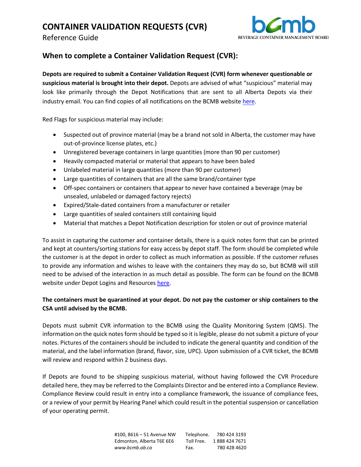# **CONTAINER VALIDATION REQUESTS (CVR)**

Reference Guide



### **When to complete a Container Validation Request (CVR):**

**Depots are required to submit a Container Validation Request (CVR) form whenever questionable or suspicious material is brought into their depot.** Depots are advised of what "suspicious" material may look like primarily through the Depot Notifications that are sent to all Alberta Depots via their industry email. You can find copies of all notifications on the BCMB websit[e here.](https://www.bcmb.ab.ca/depot-owners-operators/depot-notices/) 

Red Flags for suspicious material may include:

- Suspected out of province material (may be a brand not sold in Alberta, the customer may have out-of-province license plates, etc.)
- Unregistered beverage containers in large quantities (more than 90 per customer)
- Heavily compacted material or material that appears to have been baled
- Unlabeled material in large quantities (more than 90 per customer)
- Large quantities of containers that are all the same brand/container type
- Off-spec containers or containers that appear to never have contained a beverage (may be unsealed, unlabeled or damaged factory rejects)
- Expired/Stale-dated containers from a manufacturer or retailer
- Large quantities of sealed containers still containing liquid
- Material that matches a Depot Notification description for stolen or out of province material

To assist in capturing the customer and container details, there is a quick notes form that can be printed and kept at counters/sorting stations for easy access by depot staff. The form should be completed while the customer is at the depot in order to collect as much information as possible. If the customer refuses to provide any information and wishes to leave with the containers they may do so, but BCMB will still need to be advised of the interaction in as much detail as possible. The form can be found on the BCMB website under Depot Logins and Resources [here.](https://www.bcmb.ab.ca/depot-owners-operators/depot-logins-resources/)

#### **The containers must be quarantined at your depot. Do not pay the customer or ship containers to the CSA until advised by the BCMB.**

Depots must submit CVR information to the BCMB using the Quality Monitoring System (QMS). The information on the quick notes form should be typed so it is legible, please do not submit a picture of your notes. Pictures of the containers should be included to indicate the general quantity and condition of the material, and the label information (brand, flavor, size, UPC). Upon submission of a CVR ticket, the BCMB will review and respond within 2 business days.

If Depots are found to be shipping suspicious material, without having followed the CVR Procedure detailed here, they may be referred to the Complaints Director and be entered into a Compliance Review. Compliance Review could result in entry into a compliance framework, the issuance of compliance fees, or a review of your permit by Hearing Panel which could result in the potential suspension or cancellation of your operating permit.

> #100, 8616 – 51 Avenue NW Telephone. 780 424 3193 Edmonton, Alberta T6E 6E6 Toll Free. 1888 424 7671 *www.bcmb.ab.ca* Fax. 780 428 4620